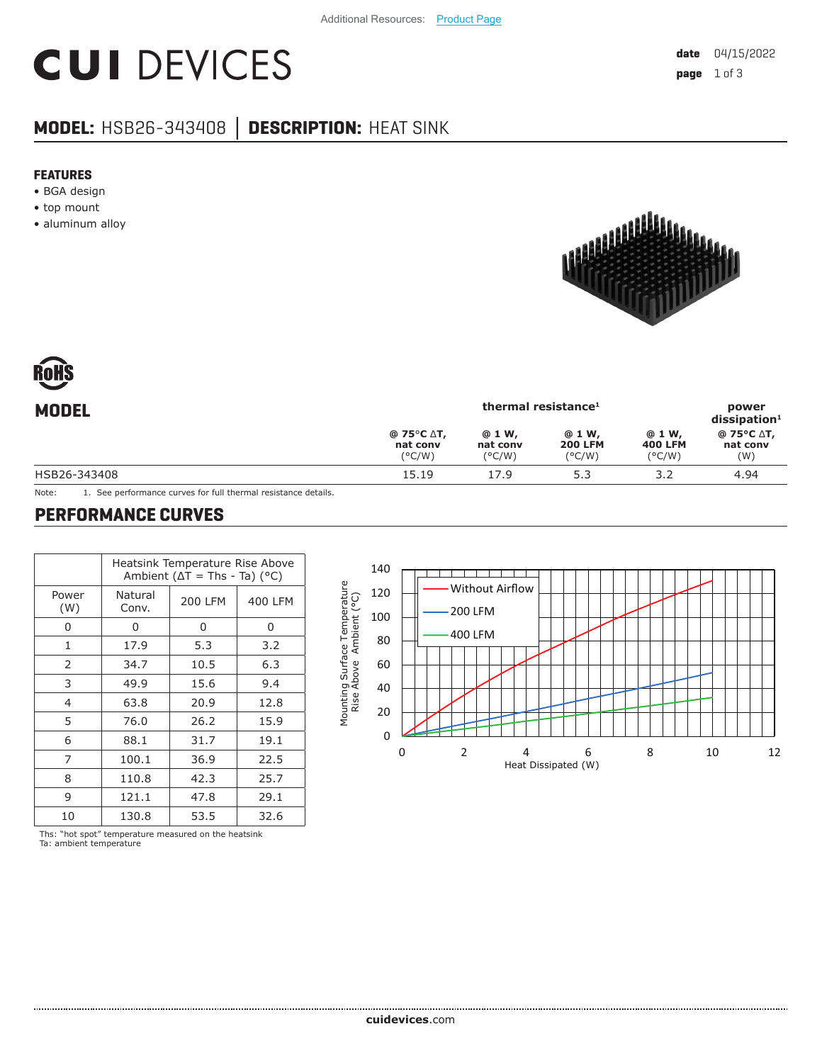# **CUI DEVICES**

### **MODEL:** HSB26-343408 **│ DESCRIPTION:** HEAT SINK

#### **FEATURES**

- BGA design
- top mount
- aluminum alloy



| RoHS  |  |
|-------|--|
| MNNFI |  |

| <b>MODEL</b> | thermal resistance <sup>1</sup>                          |                                        |                                             |                                              | power<br>dissigmoid <sup>1</sup> |
|--------------|----------------------------------------------------------|----------------------------------------|---------------------------------------------|----------------------------------------------|----------------------------------|
|              | $@75^{\circ}C \Delta T,$<br>nat conv<br>$(^{\circ}$ C/W) | @ 1 W,<br>nat conv<br>$(^{\circ}$ C/W) | @ 1 W,<br><b>200 LFM</b><br>$(^{\circ}C/W)$ | @ 1 W,<br><b>400 LFM</b><br>$(^{\circ}$ C/W) | @ 75°C ∆T,<br>nat conv<br>(W)    |
| HSB26-343408 | 15.19                                                    | 17.9                                   | 5.3                                         | 3.2                                          | 4.94                             |
|              |                                                          |                                        |                                             |                                              |                                  |

Note: 1. See performance curves for full thermal resistance details.

#### **PERFORMANCE CURVES**

|              | Heatsink Temperature Rise Above<br>Ambient ( $\Delta T$ = Ths - Ta) ( $^{\circ}$ C) |              |         |  |
|--------------|-------------------------------------------------------------------------------------|--------------|---------|--|
| Power<br>(W) | Natural<br>Conv.                                                                    | 200 LFM      | 400 LFM |  |
| O            | U                                                                                   | 0            | 0       |  |
| $\mathbf{1}$ | 17.9                                                                                | 5.3          | 3.2     |  |
| 2            | 34.7                                                                                | 10.5         | 6.3     |  |
| 3            | 49.9                                                                                | 15.6         | 9.4     |  |
| 4            | 63.8                                                                                | 20.9         | 12.8    |  |
| 5            | 76.0                                                                                | 26.2<br>31.7 | 15.9    |  |
| 6            | 88.1                                                                                |              | 19.1    |  |
| 7            | 100.1                                                                               | 36.9         | 22.5    |  |
| 8            | 110.8                                                                               | 42.3         | 25.7    |  |
| 9            | 121.1                                                                               | 47.8         | 29.1    |  |
| 10           | 130.8                                                                               | 53.5         | 32.6    |  |

140 <u> 1951 - Jackson Barbara</u> Mounting Surface Temperature Mounting Surface Temperature<br>Rise Above Ambient (°C) Without Airflow 120 Rise Above Ambient (°C) 200 LFM 100 400 LFM 80 60 40 20 0 0246 8 10 12 Heat Dissipated (W)

Ths: "hot spot" temperature measured on the heatsink Ta: ambient temperature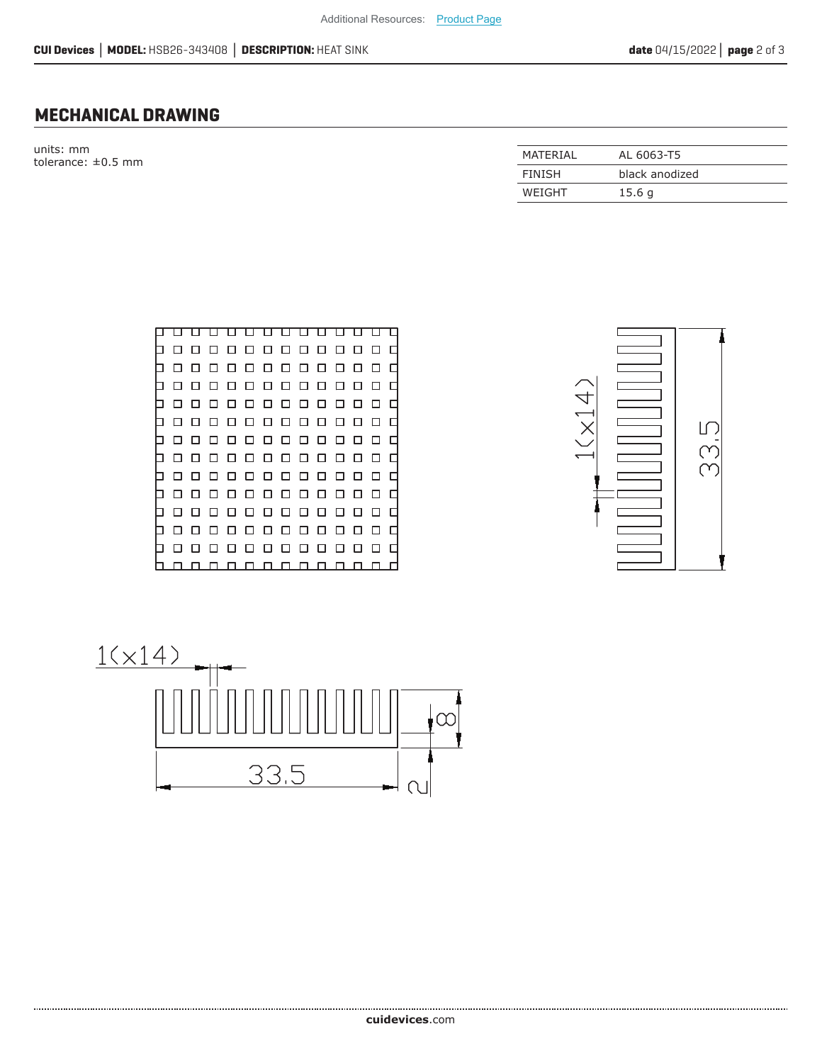#### **MECHANICAL DRAWING**

units: mm tolerance:  $\pm 0.5$  mm

| MATFRIAI      | AL 6063-T5     |
|---------------|----------------|
| <b>FINISH</b> | black anodized |
| WEIGHT        | 15.6q          |